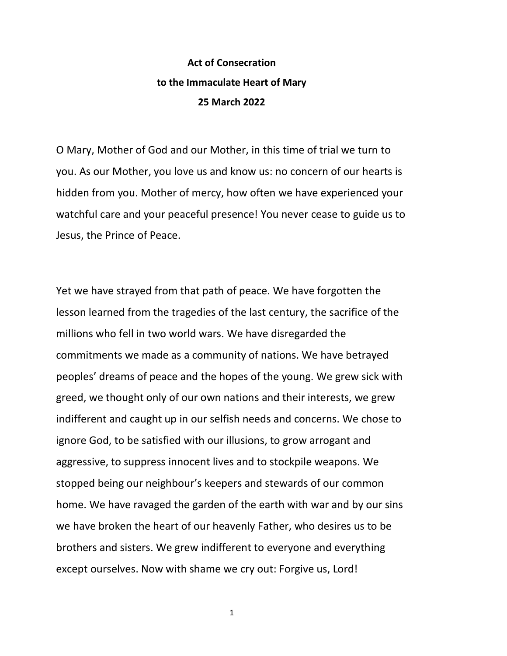## **Act of Consecration to the Immaculate Heart of Mary 25 March 2022**

O Mary, Mother of God and our Mother, in this time of trial we turn to you. As our Mother, you love us and know us: no concern of our hearts is hidden from you. Mother of mercy, how often we have experienced your watchful care and your peaceful presence! You never cease to guide us to Jesus, the Prince of Peace.

Yet we have strayed from that path of peace. We have forgotten the lesson learned from the tragedies of the last century, the sacrifice of the millions who fell in two world wars. We have disregarded the commitments we made as a community of nations. We have betrayed peoples' dreams of peace and the hopes of the young. We grew sick with greed, we thought only of our own nations and their interests, we grew indifferent and caught up in our selfish needs and concerns. We chose to ignore God, to be satisfied with our illusions, to grow arrogant and aggressive, to suppress innocent lives and to stockpile weapons. We stopped being our neighbour's keepers and stewards of our common home. We have ravaged the garden of the earth with war and by our sins we have broken the heart of our heavenly Father, who desires us to be brothers and sisters. We grew indifferent to everyone and everything except ourselves. Now with shame we cry out: Forgive us, Lord!

1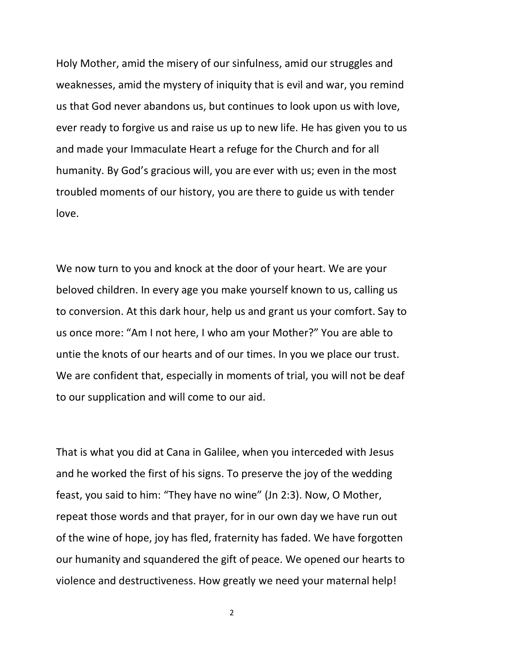Holy Mother, amid the misery of our sinfulness, amid our struggles and weaknesses, amid the mystery of iniquity that is evil and war, you remind us that God never abandons us, but continues to look upon us with love, ever ready to forgive us and raise us up to new life. He has given you to us and made your Immaculate Heart a refuge for the Church and for all humanity. By God's gracious will, you are ever with us; even in the most troubled moments of our history, you are there to guide us with tender love.

We now turn to you and knock at the door of your heart. We are your beloved children. In every age you make yourself known to us, calling us to conversion. At this dark hour, help us and grant us your comfort. Say to us once more: "Am I not here, I who am your Mother?" You are able to untie the knots of our hearts and of our times. In you we place our trust. We are confident that, especially in moments of trial, you will not be deaf to our supplication and will come to our aid.

That is what you did at Cana in Galilee, when you interceded with Jesus and he worked the first of his signs. To preserve the joy of the wedding feast, you said to him: "They have no wine" (Jn 2:3). Now, O Mother, repeat those words and that prayer, for in our own day we have run out of the wine of hope, joy has fled, fraternity has faded. We have forgotten our humanity and squandered the gift of peace. We opened our hearts to violence and destructiveness. How greatly we need your maternal help!

2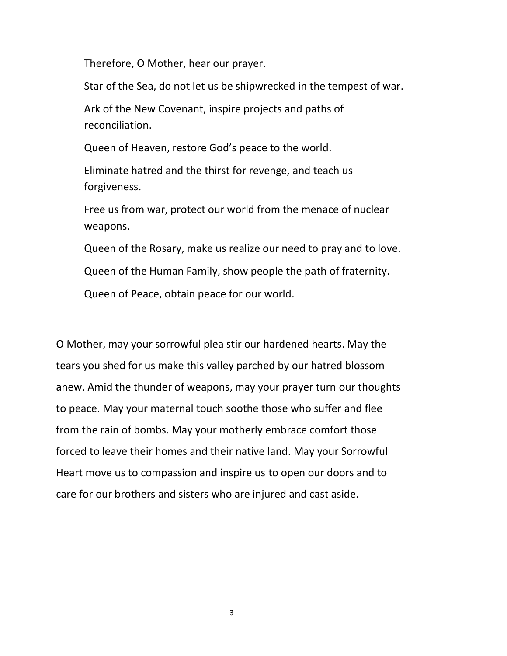Therefore, O Mother, hear our prayer.

Star of the Sea, do not let us be shipwrecked in the tempest of war.

Ark of the New Covenant, inspire projects and paths of reconciliation.

Queen of Heaven, restore God's peace to the world.

Eliminate hatred and the thirst for revenge, and teach us forgiveness.

Free us from war, protect our world from the menace of nuclear weapons.

Queen of the Rosary, make us realize our need to pray and to love.

Queen of the Human Family, show people the path of fraternity.

Queen of Peace, obtain peace for our world.

O Mother, may your sorrowful plea stir our hardened hearts. May the tears you shed for us make this valley parched by our hatred blossom anew. Amid the thunder of weapons, may your prayer turn our thoughts to peace. May your maternal touch soothe those who suffer and flee from the rain of bombs. May your motherly embrace comfort those forced to leave their homes and their native land. May your Sorrowful Heart move us to compassion and inspire us to open our doors and to care for our brothers and sisters who are injured and cast aside.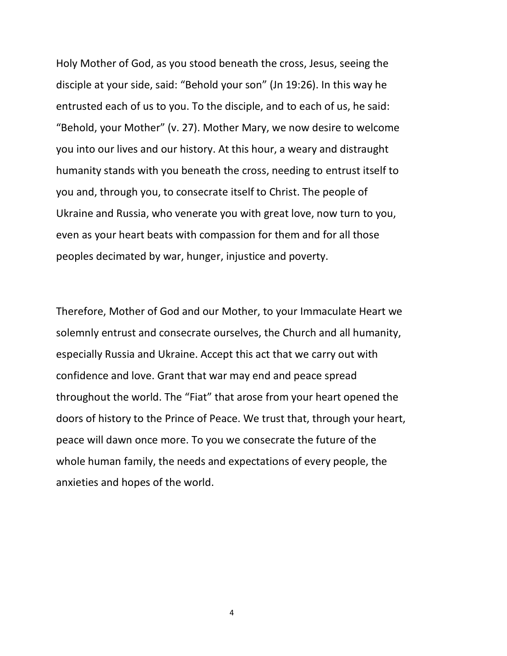Holy Mother of God, as you stood beneath the cross, Jesus, seeing the disciple at your side, said: "Behold your son" (Jn 19:26). In this way he entrusted each of us to you. To the disciple, and to each of us, he said: "Behold, your Mother" (v. 27). Mother Mary, we now desire to welcome you into our lives and our history. At this hour, a weary and distraught humanity stands with you beneath the cross, needing to entrust itself to you and, through you, to consecrate itself to Christ. The people of Ukraine and Russia, who venerate you with great love, now turn to you, even as your heart beats with compassion for them and for all those peoples decimated by war, hunger, injustice and poverty.

Therefore, Mother of God and our Mother, to your Immaculate Heart we solemnly entrust and consecrate ourselves, the Church and all humanity, especially Russia and Ukraine. Accept this act that we carry out with confidence and love. Grant that war may end and peace spread throughout the world. The "Fiat" that arose from your heart opened the doors of history to the Prince of Peace. We trust that, through your heart, peace will dawn once more. To you we consecrate the future of the whole human family, the needs and expectations of every people, the anxieties and hopes of the world.

4